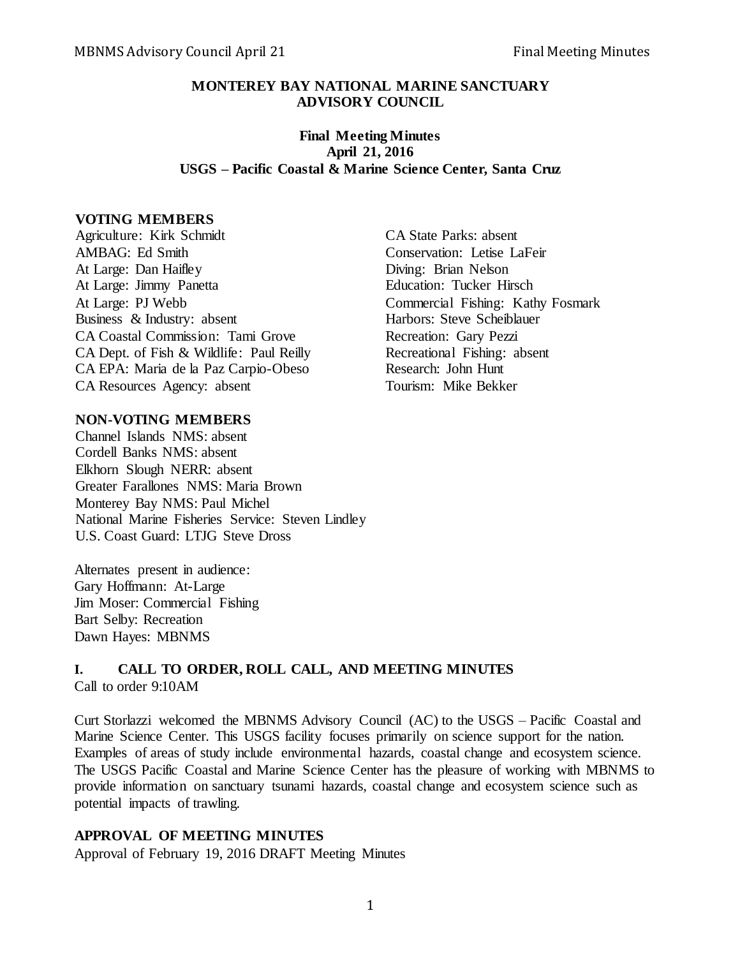#### **MONTEREY BAY NATIONAL MARINE SANCTUARY ADVISORY COUNCIL**

# **Final Meeting Minutes April 21, 2016 USGS – Pacific Coastal & Marine Science Center, Santa Cruz**

#### **VOTING MEMBERS**

Agriculture: Kirk Schmidt<br>
CA State Parks: absent AMBAG: Ed Smith Conservation: Letise LaFeir At Large: Dan Haifley Diving: Brian Nelson At Large: Jimmy Panetta Education: Tucker Hirsch At Large: PJ Webb Commercial Fishing: Kathy Fosmark Business & Industry: absent Harbors: Steve Scheiblauer CA Coastal Commission: Tami Grove Recreation: Gary Pezzi CA Dept. of Fish & Wildlife: Paul Reilly Recreational Fishing: absent CA EPA: Maria de la Paz Carpio-Obeso Research: John Hunt CA Resources Agency: absent Tourism: Mike Bekker

## **NON-VOTING MEMBERS**

Channel Islands NMS: absent Cordell Banks NMS: absent Elkhorn Slough NERR: absent Greater Farallones NMS: Maria Brown Monterey Bay NMS: Paul Michel National Marine Fisheries Service: Steven Lindley U.S. Coast Guard: LTJG Steve Dross

Alternates present in audience: Gary Hoffmann: At-Large Jim Moser: Commercial Fishing Bart Selby: Recreation Dawn Hayes: MBNMS

# **I. CALL TO ORDER, ROLL CALL, AND MEETING MINUTES** Call to order 9:10AM

Curt Storlazzi welcomed the MBNMS Advisory Council (AC) to the USGS – Pacific Coastal and Marine Science Center. This USGS facility focuses primarily on science support for the nation. Examples of areas of study include environmental hazards, coastal change and ecosystem science. The USGS Pacific Coastal and Marine Science Center has the pleasure of working with MBNMS to provide information on sanctuary tsunami hazards, coastal change and ecosystem science such as potential impacts of trawling.

## **APPROVAL OF MEETING MINUTES**

Approval of February 19, 2016 DRAFT Meeting Minutes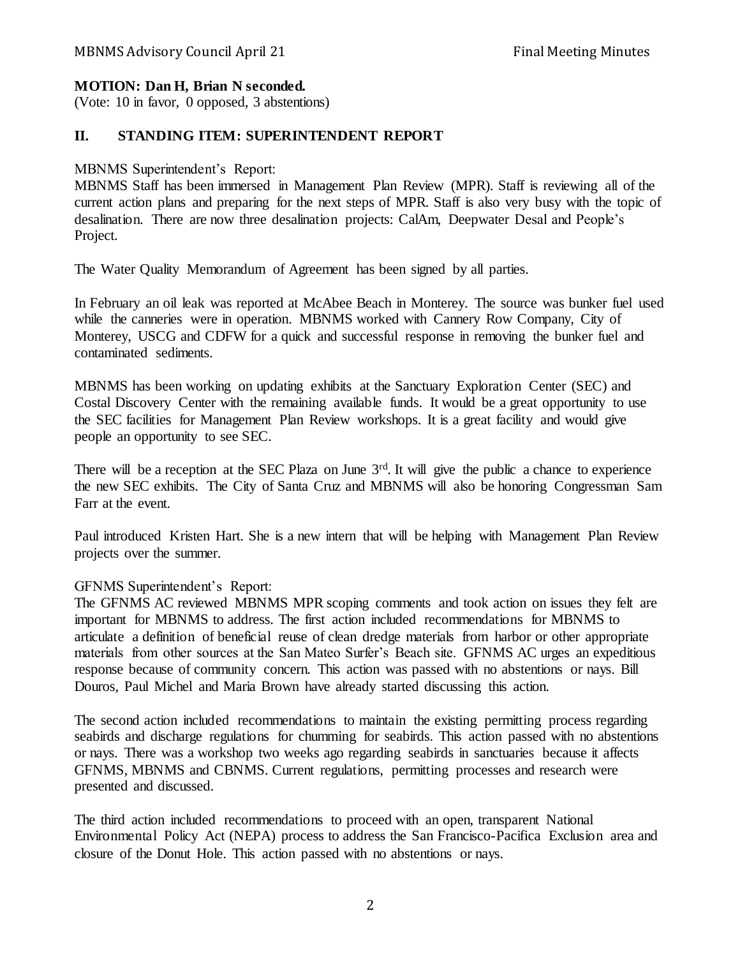# **MOTION: Dan H, Brian N seconded.**

(Vote: 10 in favor, 0 opposed, 3 abstentions)

# **II. STANDING ITEM: SUPERINTENDENT REPORT**

# MBNMS Superintendent's Report:

MBNMS Staff has been immersed in Management Plan Review (MPR). Staff is reviewing all of the current action plans and preparing for the next steps of MPR. Staff is also very busy with the topic of desalination. There are now three desalination projects: CalAm, Deepwater Desal and People's Project.

The Water Quality Memorandum of Agreement has been signed by all parties.

In February an oil leak was reported at McAbee Beach in Monterey. The source was bunker fuel used while the canneries were in operation. MBNMS worked with Cannery Row Company, City of Monterey, USCG and CDFW for a quick and successful response in removing the bunker fuel and contaminated sediments.

MBNMS has been working on updating exhibits at the Sanctuary Exploration Center (SEC) and Costal Discovery Center with the remaining available funds. It would be a great opportunity to use the SEC facilities for Management Plan Review workshops. It is a great facility and would give people an opportunity to see SEC.

There will be a reception at the SEC Plaza on June 3<sup>rd</sup>. It will give the public a chance to experience the new SEC exhibits. The City of Santa Cruz and MBNMS will also be honoring Congressman Sam Farr at the event.

Paul introduced Kristen Hart. She is a new intern that will be helping with Management Plan Review projects over the summer.

## GFNMS Superintendent's Report:

The GFNMS AC reviewed MBNMS MPR scoping comments and took action on issues they felt are important for MBNMS to address. The first action included recommendations for MBNMS to articulate a definition of beneficial reuse of clean dredge materials from harbor or other appropriate materials from other sources at the San Mateo Surfer's Beach site. GFNMS AC urges an expeditious response because of community concern. This action was passed with no abstentions or nays. Bill Douros, Paul Michel and Maria Brown have already started discussing this action.

The second action included recommendations to maintain the existing permitting process regarding seabirds and discharge regulations for chumming for seabirds. This action passed with no abstentions or nays. There was a workshop two weeks ago regarding seabirds in sanctuaries because it affects GFNMS, MBNMS and CBNMS. Current regulations, permitting processes and research were presented and discussed.

The third action included recommendations to proceed with an open, transparent National Environmental Policy Act (NEPA) process to address the San Francisco-Pacifica Exclusion area and closure of the Donut Hole. This action passed with no abstentions or nays.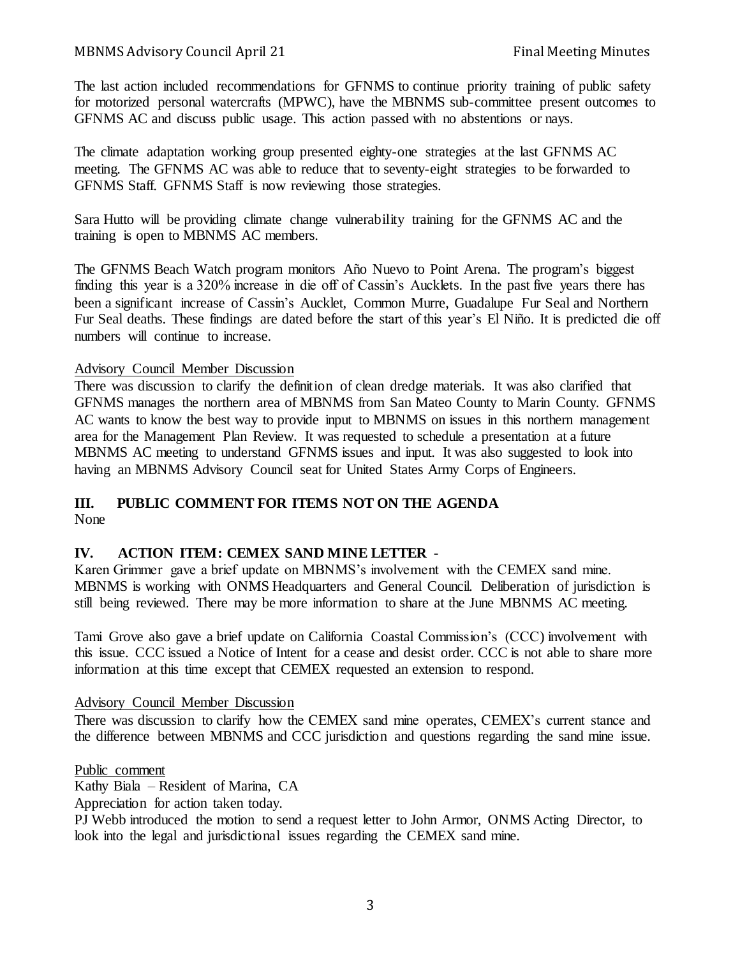The last action included recommendations for GFNMS to continue priority training of public safety for motorized personal watercrafts (MPWC), have the MBNMS sub-committee present outcomes to GFNMS AC and discuss public usage. This action passed with no abstentions or nays.

The climate adaptation working group presented eighty-one strategies at the last GFNMS AC meeting. The GFNMS AC was able to reduce that to seventy-eight strategies to be forwarded to GFNMS Staff. GFNMS Staff is now reviewing those strategies.

Sara Hutto will be providing climate change vulnerability training for the GFNMS AC and the training is open to MBNMS AC members.

The GFNMS Beach Watch program monitors Año Nuevo to Point Arena. The program's biggest finding this year is a 320% increase in die off of Cassin's Aucklets. In the past five years there has been a significant increase of Cassin's Aucklet, Common Murre, Guadalupe Fur Seal and Northern Fur Seal deaths. These findings are dated before the start of this year's El Niño. It is predicted die off numbers will continue to increase.

# Advisory Council Member Discussion

There was discussion to clarify the definition of clean dredge materials. It was also clarified that GFNMS manages the northern area of MBNMS from San Mateo County to Marin County. GFNMS AC wants to know the best way to provide input to MBNMS on issues in this northern management area for the Management Plan Review. It was requested to schedule a presentation at a future MBNMS AC meeting to understand GFNMS issues and input. It was also suggested to look into having an MBNMS Advisory Council seat for United States Army Corps of Engineers.

# **III. PUBLIC COMMENT FOR ITEMS NOT ON THE AGENDA**

None

# **IV. ACTION ITEM: CEMEX SAND MINE LETTER -**

Karen Grimmer gave a brief update on MBNMS's involvement with the CEMEX sand mine. MBNMS is working with ONMS Headquarters and General Council. Deliberation of jurisdiction is still being reviewed. There may be more information to share at the June MBNMS AC meeting.

Tami Grove also gave a brief update on California Coastal Commission's (CCC) involvement with this issue. CCC issued a Notice of Intent for a cease and desist order. CCC is not able to share more information at this time except that CEMEX requested an extension to respond.

# Advisory Council Member Discussion

There was discussion to clarify how the CEMEX sand mine operates, CEMEX's current stance and the difference between MBNMS and CCC jurisdiction and questions regarding the sand mine issue.

Public comment

Kathy Biala – Resident of Marina, CA

Appreciation for action taken today.

PJ Webb introduced the motion to send a request letter to John Armor, ONMS Acting Director, to look into the legal and jurisdictional issues regarding the CEMEX sand mine.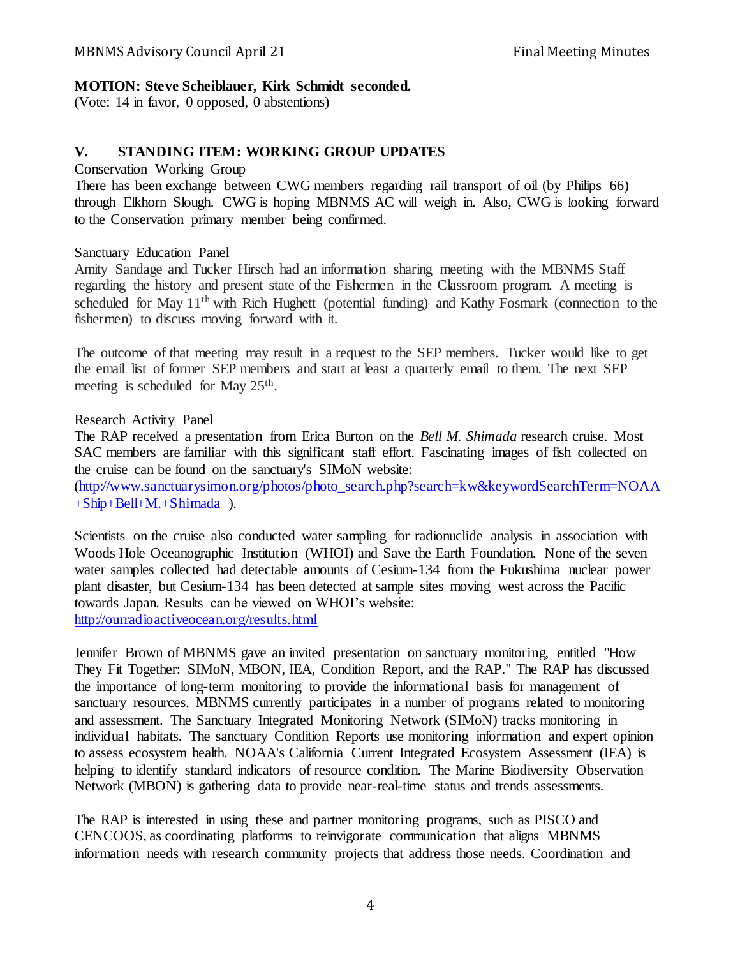## **MOTION: Steve Scheiblauer, Kirk Schmidt seconded.**

(Vote: 14 in favor, 0 opposed, 0 abstentions)

# **V. STANDING ITEM: WORKING GROUP UPDATES**

#### Conservation Working Group

There has been exchange between CWG members regarding rail transport of oil (by Philips 66) through Elkhorn Slough. CWG is hoping MBNMS AC will weigh in. Also, CWG is looking forward to the Conservation primary member being confirmed.

## Sanctuary Education Panel

Amity Sandage and Tucker Hirsch had an information sharing meeting with the MBNMS Staff regarding the history and present state of the Fishermen in the Classroom program. A meeting is scheduled for May 11th with Rich Hughett (potential funding) and Kathy Fosmark (connection to the fishermen) to discuss moving forward with it.

The outcome of that meeting may result in a request to the SEP members. Tucker would like to get the email list of former SEP members and start at least a quarterly email to them. The next SEP meeting is scheduled for May 25<sup>th</sup>.

Research Activity Panel

The RAP received a presentation from Erica Burton on the *Bell M. Shimada* research cruise. Most SAC members are familiar with this significant staff effort. Fascinating images of fish collected on the cruise can be found on the sanctuary's SIMoN website:

[\(http://www.sanctuarysimon.org/photos/photo\\_search.php?search=kw&keywordSearchTerm=NOAA](http://www.sanctuarysimon.org/photos/photo_search.php?search=kw&keywordSearchTerm=NOAA+Ship+Bell+M.+Shimada) [+Ship+Bell+M.+Shimada](http://www.sanctuarysimon.org/photos/photo_search.php?search=kw&keywordSearchTerm=NOAA+Ship+Bell+M.+Shimada) ).

Scientists on the cruise also conducted water sampling for radionuclide analysis in association with Woods Hole Oceanographic Institution (WHOI) and Save the Earth Foundation. None of the seven water samples collected had detectable amounts of Cesium-134 from the Fukushima nuclear power plant disaster, but Cesium-134 has been detected at sample sites moving west across the Pacific towards Japan. Results can be viewed on WHOI's website: <http://ourradioactiveocean.org/results.html>

Jennifer Brown of MBNMS gave an invited presentation on sanctuary monitoring, entitled "How They Fit Together: SIMoN, MBON, IEA, Condition Report, and the RAP." The RAP has discussed the importance of long-term monitoring to provide the informational basis for management of sanctuary resources. MBNMS currently participates in a number of programs related to monitoring and assessment. The Sanctuary Integrated Monitoring Network (SIMoN) tracks monitoring in individual habitats. The sanctuary Condition Reports use monitoring information and expert opinion to assess ecosystem health. NOAA's California Current Integrated Ecosystem Assessment (IEA) is helping to identify standard indicators of resource condition. The Marine Biodiversity Observation Network (MBON) is gathering data to provide near-real-time status and trends assessments.

The RAP is interested in using these and partner monitoring programs, such as PISCO and CENCOOS, as coordinating platforms to reinvigorate communication that aligns MBNMS information needs with research community projects that address those needs. Coordination and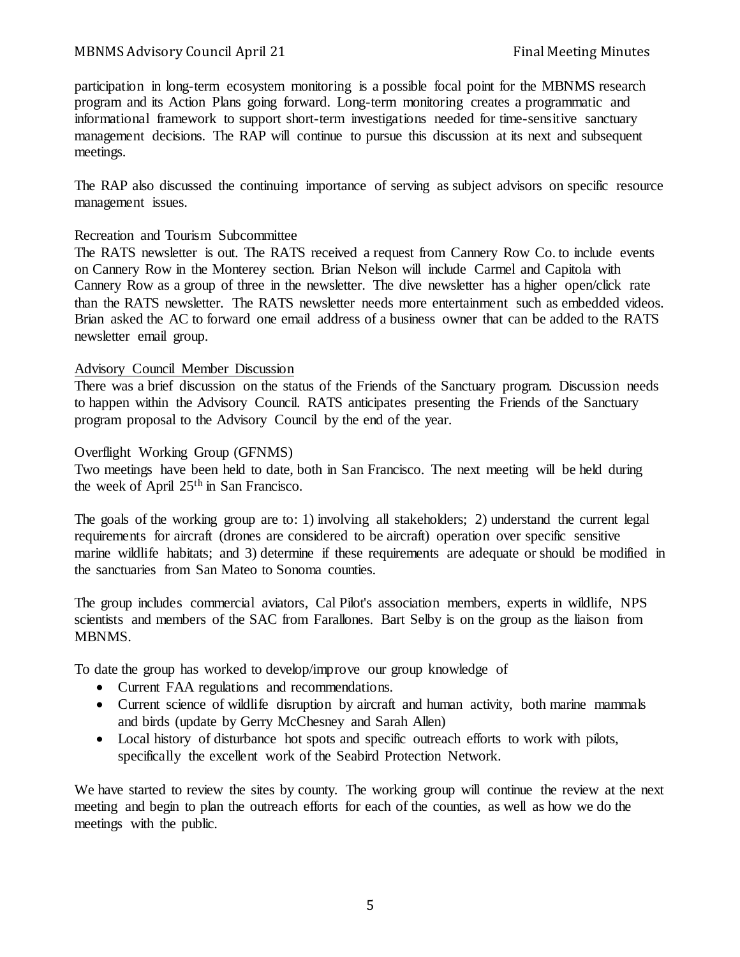participation in long-term ecosystem monitoring is a possible focal point for the MBNMS research program and its Action Plans going forward. Long-term monitoring creates a programmatic and informational framework to support short-term investigations needed for time-sensitive sanctuary management decisions. The RAP will continue to pursue this discussion at its next and subsequent meetings.

The RAP also discussed the continuing importance of serving as subject advisors on specific resource management issues.

#### Recreation and Tourism Subcommittee

The RATS newsletter is out. The RATS received a request from Cannery Row Co. to include events on Cannery Row in the Monterey section. Brian Nelson will include Carmel and Capitola with Cannery Row as a group of three in the newsletter. The dive newsletter has a higher open/click rate than the RATS newsletter. The RATS newsletter needs more entertainment such as embedded videos. Brian asked the AC to forward one email address of a business owner that can be added to the RATS newsletter email group.

#### Advisory Council Member Discussion

There was a brief discussion on the status of the Friends of the Sanctuary program. Discussion needs to happen within the Advisory Council. RATS anticipates presenting the Friends of the Sanctuary program proposal to the Advisory Council by the end of the year.

#### Overflight Working Group (GFNMS)

Two meetings have been held to date, both in San Francisco. The next meeting will be held during the week of April 25th in San Francisco.

The goals of the working group are to: 1) involving all stakeholders; 2) understand the current legal requirements for aircraft (drones are considered to be aircraft) operation over specific sensitive marine wildlife habitats; and 3) determine if these requirements are adequate or should be modified in the sanctuaries from San Mateo to Sonoma counties.

The group includes commercial aviators, Cal Pilot's association members, experts in wildlife, NPS scientists and members of the SAC from Farallones. Bart Selby is on the group as the liaison from MBNMS.

To date the group has worked to develop/improve our group knowledge of

- Current FAA regulations and recommendations.
- Current science of wildlife disruption by aircraft and human activity, both marine mammals and birds (update by Gerry McChesney and Sarah Allen)
- Local history of disturbance hot spots and specific outreach efforts to work with pilots, specifically the excellent work of the Seabird Protection Network.

We have started to review the sites by county. The working group will continue the review at the next meeting and begin to plan the outreach efforts for each of the counties, as well as how we do the meetings with the public.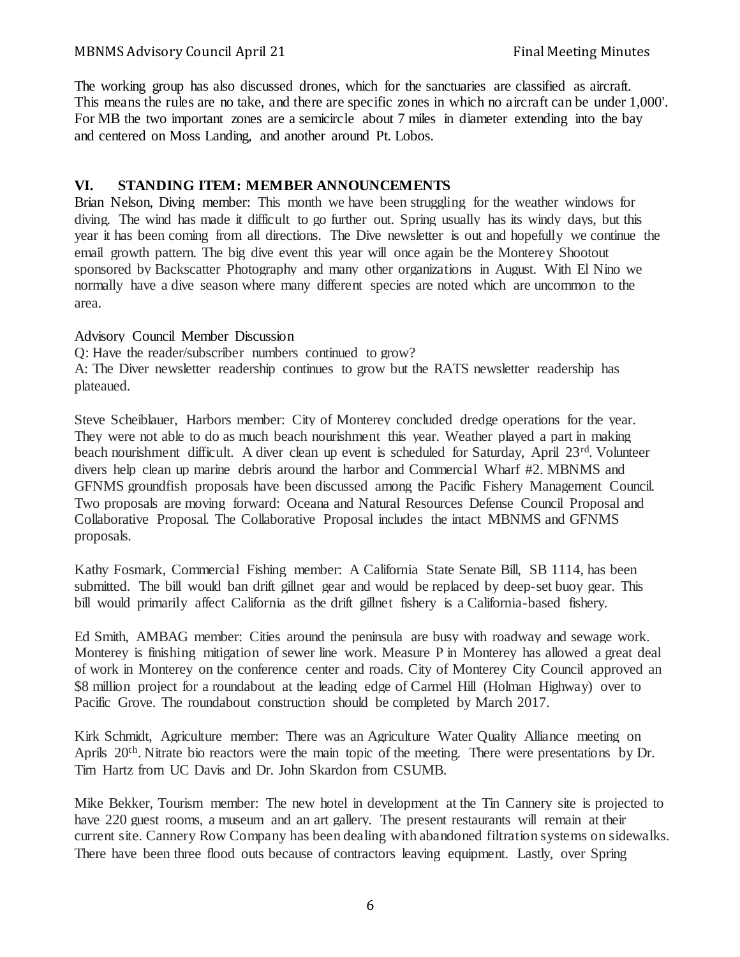The working group has also discussed drones, which for the sanctuaries are classified as aircraft. This means the rules are no take, and there are specific zones in which no aircraft can be under 1,000'. For MB the two important zones are a semicircle about 7 miles in diameter extending into the bay and centered on Moss Landing, and another around Pt. Lobos.

# **VI. STANDING ITEM: MEMBER ANNOUNCEMENTS**

Brian Nelson, Diving member: This month we have been struggling for the weather windows for diving. The wind has made it difficult to go further out. Spring usually has its windy days, but this year it has been coming from all directions. The Dive newsletter is out and hopefully we continue the email growth pattern. The big dive event this year will once again be the Monterey Shootout sponsored by Backscatter Photography and many other organizations in August. With El Nino we normally have a dive season where many different species are noted which are uncommon to the area.

# Advisory Council Member Discussion

Q: Have the reader/subscriber numbers continued to grow?

A: The Diver newsletter readership continues to grow but the RATS newsletter readership has plateaued.

Steve Scheiblauer, Harbors member: City of Monterey concluded dredge operations for the year. They were not able to do as much beach nourishment this year. Weather played a part in making beach nourishment difficult. A diver clean up event is scheduled for Saturday, April 23<sup>rd</sup>. Volunteer divers help clean up marine debris around the harbor and Commercial Wharf #2. MBNMS and GFNMS groundfish proposals have been discussed among the Pacific Fishery Management Council. Two proposals are moving forward: Oceana and Natural Resources Defense Council Proposal and Collaborative Proposal. The Collaborative Proposal includes the intact MBNMS and GFNMS proposals.

Kathy Fosmark, Commercial Fishing member: A California State Senate Bill, SB 1114, has been submitted. The bill would ban drift gillnet gear and would be replaced by deep-set buoy gear. This bill would primarily affect California as the drift gillnet fishery is a California-based fishery.

Ed Smith, AMBAG member: Cities around the peninsula are busy with roadway and sewage work. Monterey is finishing mitigation of sewer line work. Measure P in Monterey has allowed a great deal of work in Monterey on the conference center and roads. City of Monterey City Council approved an \$8 million project for a roundabout at the leading edge of Carmel Hill (Holman Highway) over to Pacific Grove. The roundabout construction should be completed by March 2017.

Kirk Schmidt, Agriculture member: There was an Agriculture Water Quality Alliance meeting on Aprils 20<sup>th</sup>. Nitrate bio reactors were the main topic of the meeting. There were presentations by Dr. Tim Hartz from UC Davis and Dr. John Skardon from CSUMB.

Mike Bekker, Tourism member: The new hotel in development at the Tin Cannery site is projected to have 220 guest rooms, a museum and an art gallery. The present restaurants will remain at their current site. Cannery Row Company has been dealing with abandoned filtration systems on sidewalks. There have been three flood outs because of contractors leaving equipment. Lastly, over Spring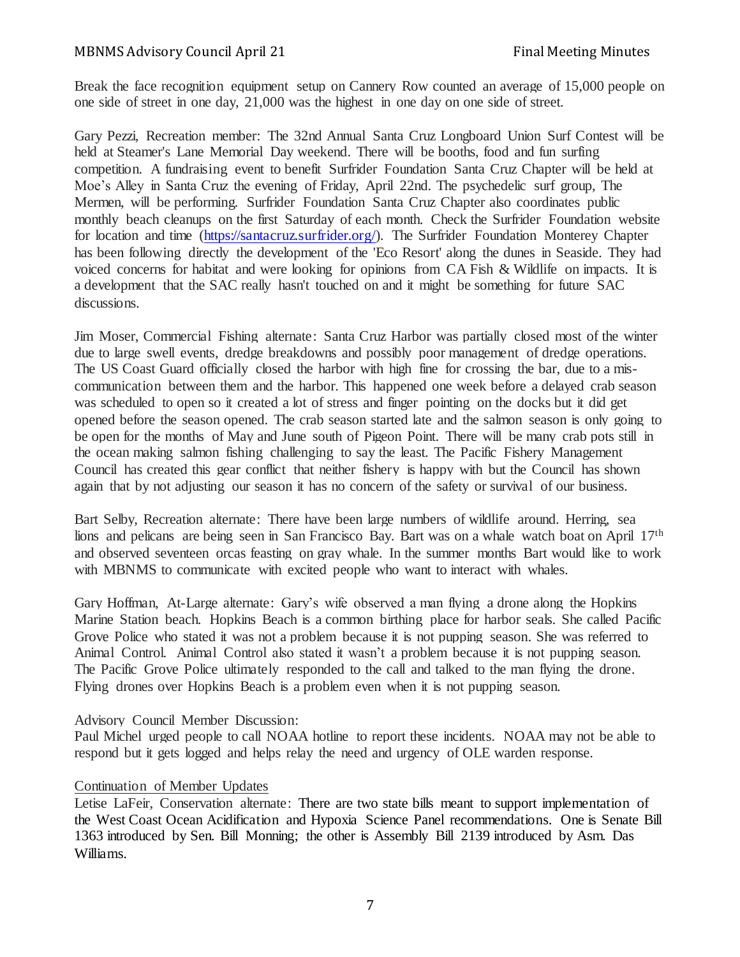Break the face recognition equipment setup on Cannery Row counted an average of 15,000 people on one side of street in one day, 21,000 was the highest in one day on one side of street.

Gary Pezzi, Recreation member: The 32nd Annual Santa Cruz Longboard Union Surf Contest will be held at Steamer's Lane Memorial Day weekend. There will be booths, food and fun surfing competition. A fundraising event to benefit Surfrider Foundation Santa Cruz Chapter will be held at Moe's Alley in Santa Cruz the evening of Friday, April 22nd. The psychedelic surf group, The Mermen, will be performing. Surfrider Foundation Santa Cruz Chapter also coordinates public monthly beach cleanups on the first Saturday of each month. Check the Surfrider Foundation website for location and time [\(https://santacruz.surfrider.org/\).](https://santacruz.surfrider.org/) The Surfrider Foundation Monterey Chapter has been following directly the development of the 'Eco Resort' along the dunes in Seaside. They had voiced concerns for habitat and were looking for opinions from CA Fish & Wildlife on impacts. It is a development that the SAC really hasn't touched on and it might be something for future SAC discussions.

Jim Moser, Commercial Fishing alternate: Santa Cruz Harbor was partially closed most of the winter due to large swell events, dredge breakdowns and possibly poor management of dredge operations. The US Coast Guard officially closed the harbor with high fine for crossing the bar, due to a miscommunication between them and the harbor. This happened one week before a delayed crab season was scheduled to open so it created a lot of stress and finger pointing on the docks but it did get opened before the season opened. The crab season started late and the salmon season is only going to be open for the months of May and June south of Pigeon Point. There will be many crab pots still in the ocean making salmon fishing challenging to say the least. The Pacific Fishery Management Council has created this gear conflict that neither fishery is happy with but the Council has shown again that by not adjusting our season it has no concern of the safety or survival of our business.

Bart Selby, Recreation alternate: There have been large numbers of wildlife around. Herring, sea lions and pelicans are being seen in San Francisco Bay. Bart was on a whale watch boat on April 17<sup>th</sup> and observed seventeen orcas feasting on gray whale. In the summer months Bart would like to work with MBNMS to communicate with excited people who want to interact with whales.

Gary Hoffman, At-Large alternate: Gary's wife observed a man flying a drone along the Hopkins Marine Station beach. Hopkins Beach is a common birthing place for harbor seals. She called Pacific Grove Police who stated it was not a problem because it is not pupping season. She was referred to Animal Control. Animal Control also stated it wasn't a problem because it is not pupping season. The Pacific Grove Police ultimately responded to the call and talked to the man flying the drone. Flying drones over Hopkins Beach is a problem even when it is not pupping season.

#### Advisory Council Member Discussion:

Paul Michel urged people to call NOAA hotline to report these incidents. NOAA may not be able to respond but it gets logged and helps relay the need and urgency of OLE warden response.

#### Continuation of Member Updates

Letise LaFeir, Conservation alternate: There are two state bills meant to support implementation of the West Coast Ocean Acidification and Hypoxia Science Panel recommendations. One is Senate Bill 1363 introduced by Sen. Bill Monning; the other is Assembly Bill 2139 introduced by Asm. Das Williams.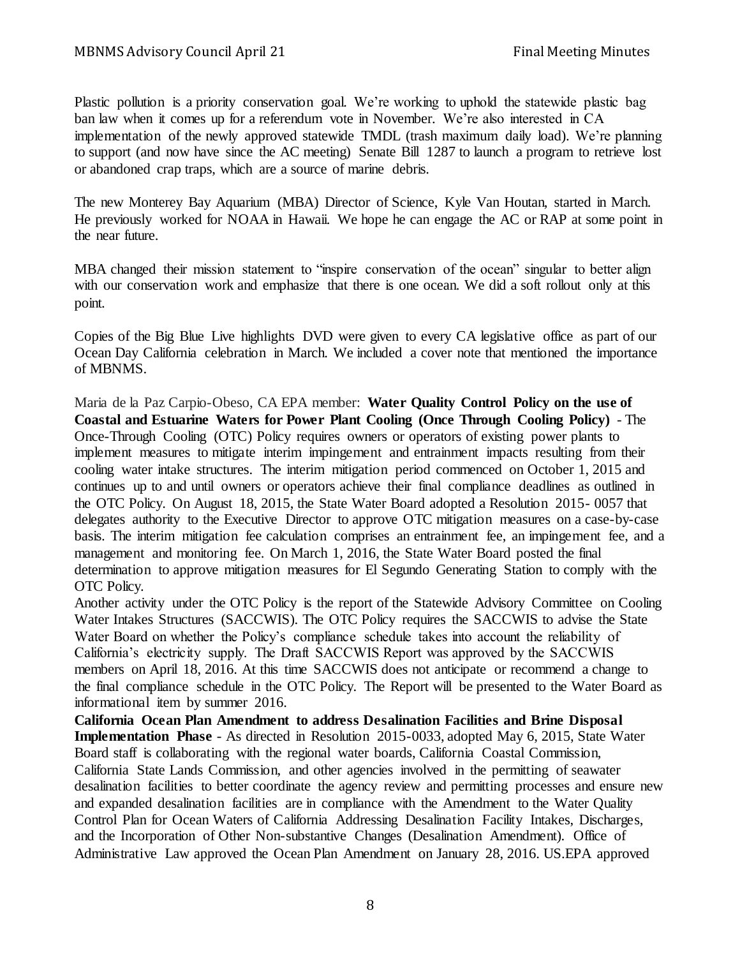Plastic pollution is a priority conservation goal. We're working to uphold the statewide plastic bag ban law when it comes up for a referendum vote in November. We're also interested in CA implementation of the newly approved statewide TMDL (trash maximum daily load). We're planning to support (and now have since the AC meeting) Senate Bill 1287 to launch a program to retrieve lost or abandoned crap traps, which are a source of marine debris.

The new Monterey Bay Aquarium (MBA) Director of Science, Kyle Van Houtan, started in March. He previously worked for NOAA in Hawaii. We hope he can engage the AC or RAP at some point in the near future.

MBA changed their mission statement to "inspire conservation of the ocean" singular to better align with our conservation work and emphasize that there is one ocean. We did a soft rollout only at this point.

Copies of the Big Blue Live highlights DVD were given to every CA legislative office as part of our Ocean Day California celebration in March. We included a cover note that mentioned the importance of MBNMS.

Maria de la Paz Carpio-Obeso, CA EPA member: **Water Quality Control Policy on the use of Coastal and Estuarine Waters for Power Plant Cooling (Once Through Cooling Policy)** - The Once-Through Cooling (OTC) Policy requires owners or operators of existing power plants to implement measures to mitigate interim impingement and entrainment impacts resulting from their cooling water intake structures. The interim mitigation period commenced on October 1, 2015 and continues up to and until owners or operators achieve their final compliance deadlines as outlined in the OTC Policy. On August 18, 2015, the State Water Board adopted a Resolution 2015- 0057 that delegates authority to the Executive Director to approve OTC mitigation measures on a case-by-case basis. The interim mitigation fee calculation comprises an entrainment fee, an impingement fee, and a management and monitoring fee. On March 1, 2016, the State Water Board posted the final determination to approve mitigation measures for El Segundo Generating Station to comply with the OTC Policy.

Another activity under the OTC Policy is the report of the Statewide Advisory Committee on Cooling Water Intakes Structures (SACCWIS). The OTC Policy requires the SACCWIS to advise the State Water Board on whether the Policy's compliance schedule takes into account the reliability of California's electricity supply. The Draft SACCWIS Report was approved by the SACCWIS members on April 18, 2016. At this time SACCWIS does not anticipate or recommend a change to the final compliance schedule in the OTC Policy. The Report will be presented to the Water Board as informational item by summer 2016.

**California Ocean Plan Amendment to address Desalination Facilities and Brine Disposal Implementation Phase** - As directed in Resolution 2015-0033, adopted May 6, 2015, State Water Board staff is collaborating with the regional water boards, California Coastal Commission, California State Lands Commission, and other agencies involved in the permitting of seawater desalination facilities to better coordinate the agency review and permitting processes and ensure new and expanded desalination facilities are in compliance with the Amendment to the Water Quality Control Plan for Ocean Waters of California Addressing Desalination Facility Intakes, Discharges, and the Incorporation of Other Non-substantive Changes (Desalination Amendment). Office of Administrative Law approved the Ocean Plan Amendment on January 28, 2016. US.EPA approved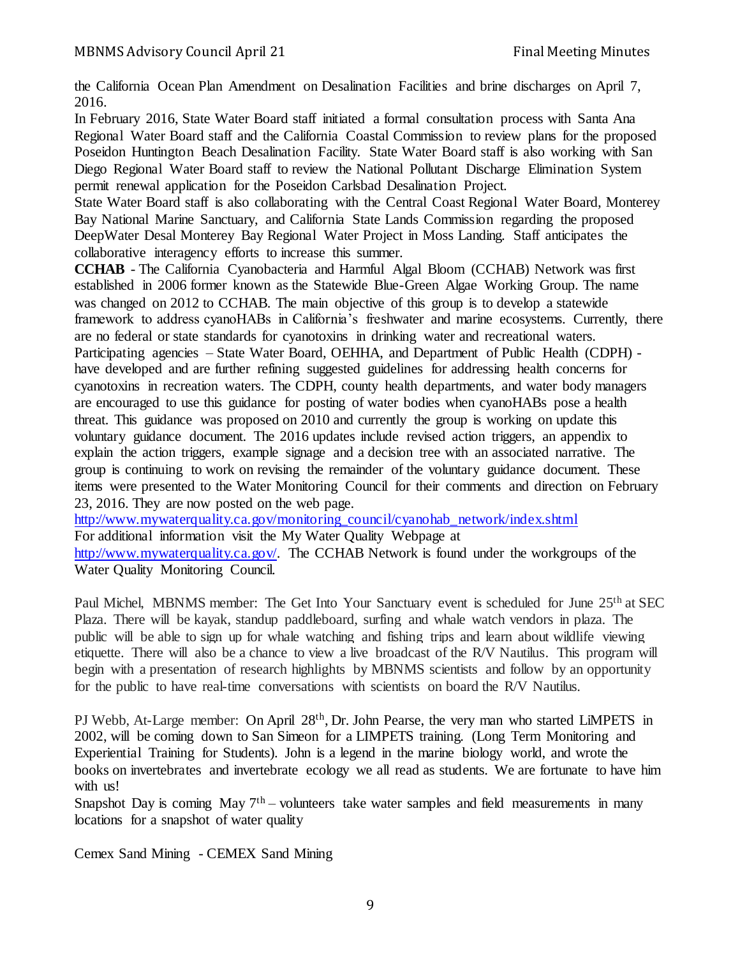the California Ocean Plan Amendment on Desalination Facilities and brine discharges on April 7, 2016.

In February 2016, State Water Board staff initiated a formal consultation process with Santa Ana Regional Water Board staff and the California Coastal Commission to review plans for the proposed Poseidon Huntington Beach Desalination Facility. State Water Board staff is also working with San Diego Regional Water Board staff to review the National Pollutant Discharge Elimination System permit renewal application for the Poseidon Carlsbad Desalination Project.

State Water Board staff is also collaborating with the Central Coast Regional Water Board, Monterey Bay National Marine Sanctuary, and California State Lands Commission regarding the proposed DeepWater Desal Monterey Bay Regional Water Project in Moss Landing. Staff anticipates the collaborative interagency efforts to increase this summer.

**CCHAB** - The California Cyanobacteria and Harmful Algal Bloom (CCHAB) Network was first established in 2006 former known as the Statewide Blue-Green Algae Working Group. The name was changed on 2012 to CCHAB. The main objective of this group is to develop a statewide framework to address cyanoHABs in California's freshwater and marine ecosystems. Currently, there are no federal or state standards for cyanotoxins in drinking water and recreational waters. Participating agencies – State Water Board, OEHHA, and Department of Public Health (CDPH) have developed and are further refining suggested guidelines for addressing health concerns for cyanotoxins in recreation waters. The CDPH, county health departments, and water body managers are encouraged to use this guidance for posting of water bodies when cyanoHABs pose a health threat. This guidance was proposed on 2010 and currently the group is working on update this voluntary guidance document. The 2016 updates include revised action triggers, an appendix to explain the action triggers, example signage and a decision tree with an associated narrative. The group is continuing to work on revising the remainder of the voluntary guidance document. These items were presented to the Water Monitoring Council for their comments and direction on February 23, 2016. They are now posted on the web page.

[http://www.mywaterquality.ca.gov/monitoring\\_council/cyanohab\\_network/index.shtml](http://www.mywaterquality.ca.gov/monitoring_council/cyanohab_network/index.shtml)

For additional information visit the My Water Quality Webpage at

[http://www.mywaterquality.ca.gov/.](http://www.mywaterquality.ca.gov/) The CCHAB Network is found under the workgroups of the Water Quality Monitoring Council.

Paul Michel, MBNMS member: The Get Into Your Sanctuary event is scheduled for June 25<sup>th</sup> at SEC Plaza. There will be kayak, standup paddleboard, surfing and whale watch vendors in plaza. The public will be able to sign up for whale watching and fishing trips and learn about wildlife viewing etiquette. There will also be a chance to view a live broadcast of the R/V Nautilus. This program will begin with a presentation of research highlights by MBNMS scientists and follow by an opportunity for the public to have real-time conversations with scientists on board the R/V Nautilus.

PJ Webb, At-Large member: On April 28<sup>th</sup>, Dr. John Pearse, the very man who started LiMPETS in 2002, will be coming down to San Simeon for a LIMPETS training. (Long Term Monitoring and Experiential Training for Students). John is a legend in the marine biology world, and wrote the books on invertebrates and invertebrate ecology we all read as students. We are fortunate to have him with us!

Snapshot Day is coming May  $7<sup>th</sup>$  – volunteers take water samples and field measurements in many locations for a snapshot of water quality

Cemex Sand Mining - CEMEX Sand Mining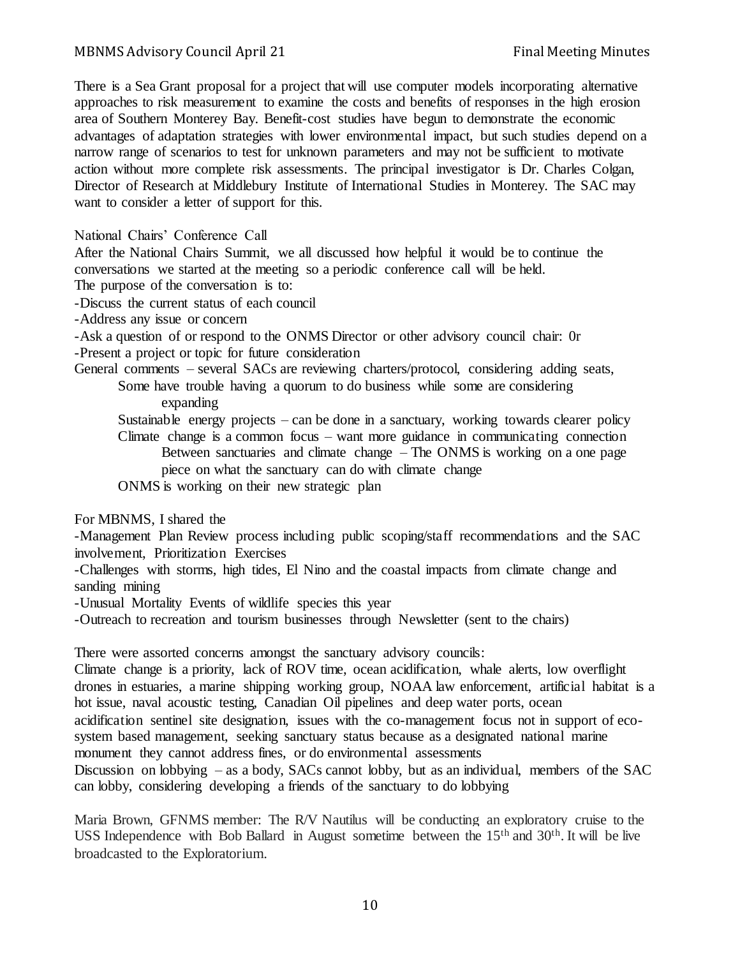There is a Sea Grant proposal for a project that will use computer models incorporating alternative approaches to risk measurement to examine the costs and benefits of responses in the high erosion area of Southern Monterey Bay. Benefit-cost studies have begun to demonstrate the economic advantages of adaptation strategies with lower environmental impact, but such studies depend on a narrow range of scenarios to test for unknown parameters and may not be sufficient to motivate action without more complete risk assessments. The principal investigator is Dr. Charles Colgan, Director of Research at Middlebury Institute of International Studies in Monterey. The SAC may want to consider a letter of support for this.

National Chairs' Conference Call

After the National Chairs Summit, we all discussed how helpful it would be to continue the conversations we started at the meeting so a periodic conference call will be held.

The purpose of the conversation is to:

-Discuss the current status of each council

-Address any issue or concern

-Ask a question of or respond to the ONMS Director or other advisory council chair: 0r -Present a project or topic for future consideration

General comments – several SACs are reviewing charters/protocol, considering adding seats, Some have trouble having a quorum to do business while some are considering

expanding

Sustainable energy projects – can be done in a sanctuary, working towards clearer policy Climate change is a common focus – want more guidance in communicating connection Between sanctuaries and climate change – The ONMS is working on a one page piece on what the sanctuary can do with climate change

ONMS is working on their new strategic plan

For MBNMS, I shared the

-Management Plan Review process including public scoping/staff recommendations and the SAC involvement, Prioritization Exercises

-Challenges with storms, high tides, El Nino and the coastal impacts from climate change and sanding mining

-Unusual Mortality Events of wildlife species this year

-Outreach to recreation and tourism businesses through Newsletter (sent to the chairs)

There were assorted concerns amongst the sanctuary advisory councils:

Climate change is a priority, lack of ROV time, ocean acidification, whale alerts, low overflight drones in estuaries, a marine shipping working group, NOAA law enforcement, artificial habitat is a hot issue, naval acoustic testing, Canadian Oil pipelines and deep water ports, ocean acidification sentinel site designation, issues with the co-management focus not in support of ecosystem based management, seeking sanctuary status because as a designated national marine monument they cannot address fines, or do environmental assessments

Discussion on lobbying – as a body, SACs cannot lobby, but as an individual, members of the SAC can lobby, considering developing a friends of the sanctuary to do lobbying

Maria Brown, GFNMS member: The R/V Nautilus will be conducting an exploratory cruise to the USS Independence with Bob Ballard in August sometime between the  $15<sup>th</sup>$  and  $30<sup>th</sup>$ . It will be live broadcasted to the Exploratorium.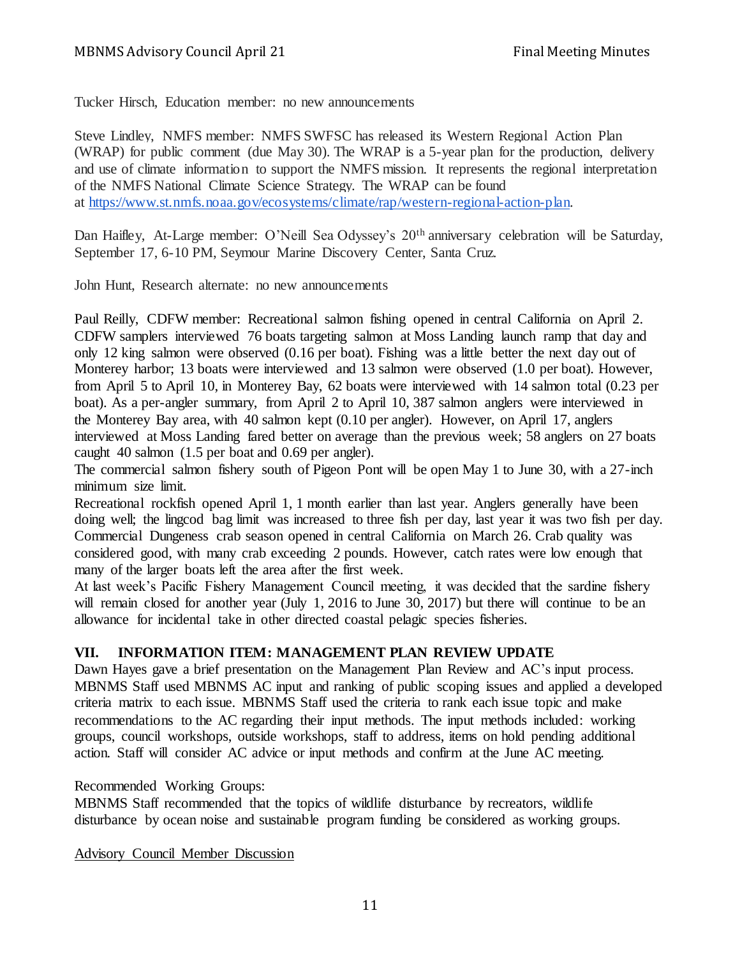Tucker Hirsch, Education member: no new announcements

Steve Lindley, NMFS member: NMFS SWFSC has released its Western Regional Action Plan (WRAP) for public comment (due May 30). The WRAP is a 5-year plan for the production, delivery and use of climate information to support the NMFS mission. It represents the regional interpretation of the NMFS National Climate Science Strategy. The WRAP can be found at [https://www.st.nmfs.noaa.gov/ecosystems/climate/rap/western-regional-action-plan.](https://www.st.nmfs.noaa.gov/ecosystems/climate/rap/western-regional-action-plan)

Dan Haifley, At-Large member: O'Neill Sea Odyssey's 20<sup>th</sup> anniversary celebration will be Saturday, September 17, 6-10 PM, Seymour Marine Discovery Center, Santa Cruz.

John Hunt, Research alternate: no new announcements

Paul Reilly, CDFW member: Recreational salmon fishing opened in central California on April 2. CDFW samplers interviewed 76 boats targeting salmon at Moss Landing launch ramp that day and only 12 king salmon were observed (0.16 per boat). Fishing was a little better the next day out of Monterey harbor; 13 boats were interviewed and 13 salmon were observed (1.0 per boat). However, from April 5 to April 10, in Monterey Bay, 62 boats were interviewed with 14 salmon total (0.23 per boat). As a per-angler summary, from April 2 to April 10, 387 salmon anglers were interviewed in the Monterey Bay area, with 40 salmon kept (0.10 per angler). However, on April 17, anglers interviewed at Moss Landing fared better on average than the previous week; 58 anglers on 27 boats caught 40 salmon (1.5 per boat and 0.69 per angler).

The commercial salmon fishery south of Pigeon Pont will be open May 1 to June 30, with a 27-inch minimum size limit.

Recreational rockfish opened April 1, 1 month earlier than last year. Anglers generally have been doing well; the lingcod bag limit was increased to three fish per day, last year it was two fish per day. Commercial Dungeness crab season opened in central California on March 26. Crab quality was considered good, with many crab exceeding 2 pounds. However, catch rates were low enough that many of the larger boats left the area after the first week.

At last week's Pacific Fishery Management Council meeting, it was decided that the sardine fishery will remain closed for another year (July 1, 2016 to June 30, 2017) but there will continue to be an allowance for incidental take in other directed coastal pelagic species fisheries.

# **VII. INFORMATION ITEM: MANAGEMENT PLAN REVIEW UPDATE**

Dawn Hayes gave a brief presentation on the Management Plan Review and AC's input process. MBNMS Staff used MBNMS AC input and ranking of public scoping issues and applied a developed criteria matrix to each issue. MBNMS Staff used the criteria to rank each issue topic and make recommendations to the AC regarding their input methods. The input methods included: working groups, council workshops, outside workshops, staff to address, items on hold pending additional action. Staff will consider AC advice or input methods and confirm at the June AC meeting.

## Recommended Working Groups:

MBNMS Staff recommended that the topics of wildlife disturbance by recreators, wildlife disturbance by ocean noise and sustainable program funding be considered as working groups.

Advisory Council Member Discussion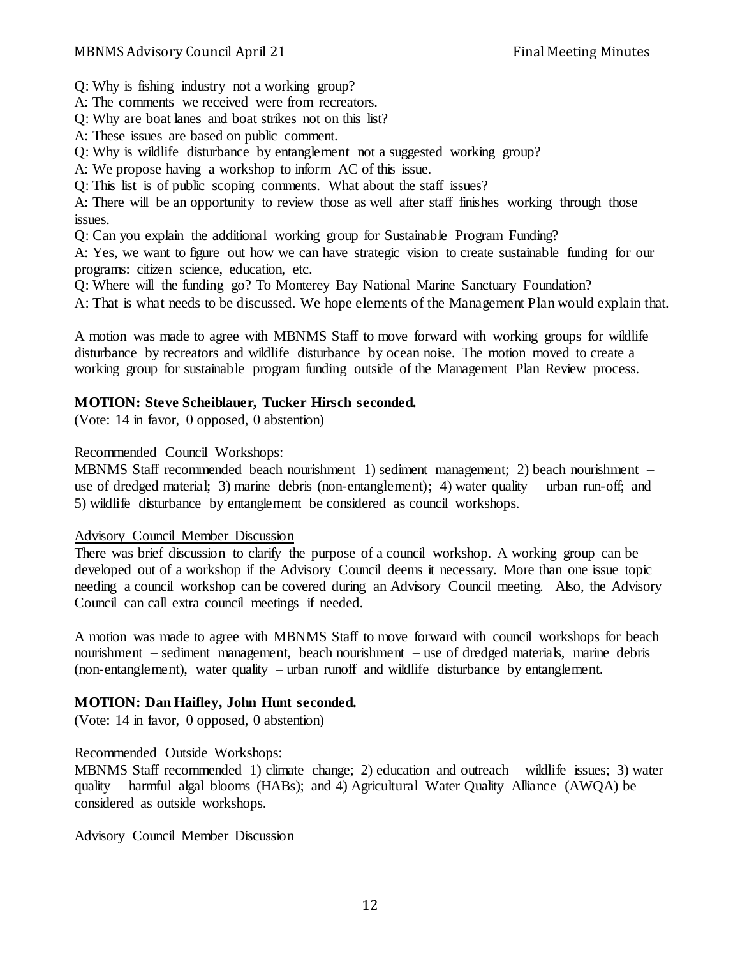Q: Why is fishing industry not a working group?

A: The comments we received were from recreators.

Q: Why are boat lanes and boat strikes not on this list?

A: These issues are based on public comment.

Q: Why is wildlife disturbance by entanglement not a suggested working group?

A: We propose having a workshop to inform AC of this issue.

Q: This list is of public scoping comments. What about the staff issues?

A: There will be an opportunity to review those as well after staff finishes working through those issues.

Q: Can you explain the additional working group for Sustainable Program Funding?

A: Yes, we want to figure out how we can have strategic vision to create sustainable funding for our programs: citizen science, education, etc.

Q: Where will the funding go? To Monterey Bay National Marine Sanctuary Foundation?

A: That is what needs to be discussed. We hope elements of the Management Plan would explain that.

A motion was made to agree with MBNMS Staff to move forward with working groups for wildlife disturbance by recreators and wildlife disturbance by ocean noise. The motion moved to create a working group for sustainable program funding outside of the Management Plan Review process.

# **MOTION: Steve Scheiblauer, Tucker Hirsch seconded.**

(Vote: 14 in favor, 0 opposed, 0 abstention)

## Recommended Council Workshops:

MBNMS Staff recommended beach nourishment 1) sediment management; 2) beach nourishment – use of dredged material; 3) marine debris (non-entanglement); 4) water quality – urban run-off; and 5) wildlife disturbance by entanglement be considered as council workshops.

## Advisory Council Member Discussion

There was brief discussion to clarify the purpose of a council workshop. A working group can be developed out of a workshop if the Advisory Council deems it necessary. More than one issue topic needing a council workshop can be covered during an Advisory Council meeting. Also, the Advisory Council can call extra council meetings if needed.

A motion was made to agree with MBNMS Staff to move forward with council workshops for beach nourishment – sediment management, beach nourishment – use of dredged materials, marine debris (non-entanglement), water quality – urban runoff and wildlife disturbance by entanglement.

# **MOTION: Dan Haifley, John Hunt seconded.**

(Vote: 14 in favor, 0 opposed, 0 abstention)

# Recommended Outside Workshops:

MBNMS Staff recommended 1) climate change; 2) education and outreach – wildlife issues; 3) water quality – harmful algal blooms (HABs); and 4) Agricultural Water Quality Alliance (AWQA) be considered as outside workshops.

# Advisory Council Member Discussion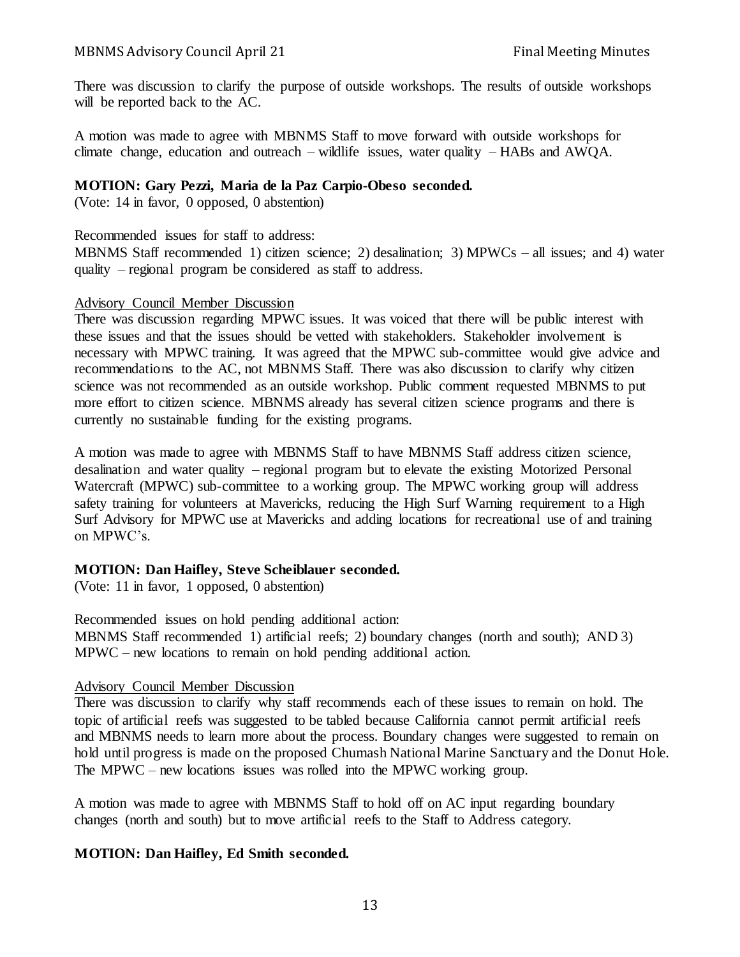There was discussion to clarify the purpose of outside workshops. The results of outside workshops will be reported back to the AC.

A motion was made to agree with MBNMS Staff to move forward with outside workshops for climate change, education and outreach – wildlife issues, water quality – HABs and AWQA.

## **MOTION: Gary Pezzi, Maria de la Paz Carpio-Obeso seconded.**

(Vote: 14 in favor, 0 opposed, 0 abstention)

#### Recommended issues for staff to address:

MBNMS Staff recommended 1) citizen science; 2) desalination; 3) MPWCs – all issues; and 4) water quality – regional program be considered as staff to address.

#### Advisory Council Member Discussion

There was discussion regarding MPWC issues. It was voiced that there will be public interest with these issues and that the issues should be vetted with stakeholders. Stakeholder involvement is necessary with MPWC training. It was agreed that the MPWC sub-committee would give advice and recommendations to the AC, not MBNMS Staff. There was also discussion to clarify why citizen science was not recommended as an outside workshop. Public comment requested MBNMS to put more effort to citizen science. MBNMS already has several citizen science programs and there is currently no sustainable funding for the existing programs.

A motion was made to agree with MBNMS Staff to have MBNMS Staff address citizen science, desalination and water quality – regional program but to elevate the existing Motorized Personal Watercraft (MPWC) sub-committee to a working group. The MPWC working group will address safety training for volunteers at Mavericks, reducing the High Surf Warning requirement to a High Surf Advisory for MPWC use at Mavericks and adding locations for recreational use of and training on MPWC's.

# **MOTION: Dan Haifley, Steve Scheiblauer seconded.**

(Vote: 11 in favor, 1 opposed, 0 abstention)

Recommended issues on hold pending additional action: MBNMS Staff recommended 1) artificial reefs; 2) boundary changes (north and south); AND 3) MPWC – new locations to remain on hold pending additional action.

## Advisory Council Member Discussion

There was discussion to clarify why staff recommends each of these issues to remain on hold. The topic of artificial reefs was suggested to be tabled because California cannot permit artificial reefs and MBNMS needs to learn more about the process. Boundary changes were suggested to remain on hold until progress is made on the proposed Chumash National Marine Sanctuary and the Donut Hole. The MPWC – new locations issues was rolled into the MPWC working group.

A motion was made to agree with MBNMS Staff to hold off on AC input regarding boundary changes (north and south) but to move artificial reefs to the Staff to Address category.

# **MOTION: Dan Haifley, Ed Smith seconded.**